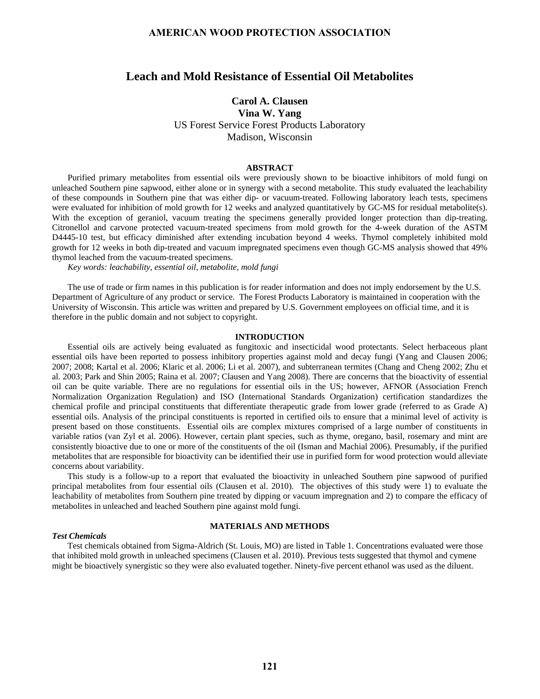# **Leach and Mold Resistance of Essential Oil Metabolites**

# **Carol A. Clausen Vina W. Yang**

US Forest Service Forest Products Laboratory Madison, Wisconsin

#### **ABSTRACT**

Purified primary metabolites from essential oils were previously shown to be bioactive inhibitors of mold fungi on unleached Southern pine sapwood, either alone or in synergy with a second metabolite. This study evaluated the leachability of these compounds in Southern pine that was either dip- or vacuum-treated. Following laboratory leach tests, specimens were evaluated for inhibition of mold growth for 12 weeks and analyzed quantitatively by GC-MS for residual metabolite(s). With the exception of geraniol, vacuum treating the specimens generally provided longer protection than dip-treating. Citronellol and carvone protected vacuum-treated specimens from mold growth for the 4-week duration of the ASTM D4445-10 test, but efficacy diminished after extending incubation beyond 4 weeks. Thymol completely inhibited mold growth for 12 weeks in both dip-treated and vacuum impregnated specimens even though GC-MS analysis showed that 49% thymol leached from the vacuum-treated specimens.

*Key words: leachability, essential oil, metabolite, mold fungi*

The use of trade or firm names in this publication is for reader information and does not imply endorsement by the U.S. Department of Agriculture of any product or service. The Forest Products Laboratory is maintained in cooperation with the University of Wisconsin. This article was written and prepared by U.S. Government employees on official time, and it is therefore in the public domain and not subject to copyright.

#### **INTRODUCTION**

Essential oils are actively being evaluated as fungitoxic and insecticidal wood protectants. Select herbaceous plant essential oils have been reported to possess inhibitory properties against mold and decay fungi (Yang and Clausen 2006; 2007; 2008; Kartal et al. 2006; Klaric et al. 2006; Li et al. 2007), and subterranean termites (Chang and Cheng 2002; Zhu et al. 2003; Park and Shin 2005; Raina et al. 2007; Clausen and Yang 2008). There are concerns that the bioactivity of essential oil can be quite variable. There are no regulations for essential oils in the US; however, AFNOR (Association French Normalization Organization Regulation) and ISO (International Standards Organization) certification standardizes the chemical profile and principal constituents that differentiate therapeutic grade from lower grade (referred to as Grade A) essential oils. Analysis of the principal constituents is reported in certified oils to ensure that a minimal level of activity is present based on those constituents. Essential oils are complex mixtures comprised of a large number of constituents in variable ratios (van Zyl et al. 2006). However, certain plant species, such as thyme, oregano, basil, rosemary and mint are consistently bioactive due to one or more of the constituents of the oil (Isman and Machial 2006). Presumably, if the purified metabolites that are responsible for bioactivity can be identified their use in purified form for wood protection would alleviate concerns about variability.

This study is a follow-up to a report that evaluated the bioactivity in unleached Southern pine sapwood of purified principal metabolites from four essential oils (Clausen et al. 2010). The objectives of this study were 1) to evaluate the leachability of metabolites from Southern pine treated by dipping or vacuum impregnation and 2) to compare the efficacy of metabolites in unleached and leached Southern pine against mold fungi.

#### **MATERIALS AND METHODS**

#### *Test Chemicals*

Test chemicals obtained from Sigma-Aldrich (St. Louis, MO) are listed in Table 1. Concentrations evaluated were those that inhibited mold growth in unleached specimens (Clausen et al. 2010). Previous tests suggested that thymol and cymene might be bioactively synergistic so they were also evaluated together. Ninety-five percent ethanol was used as the diluent.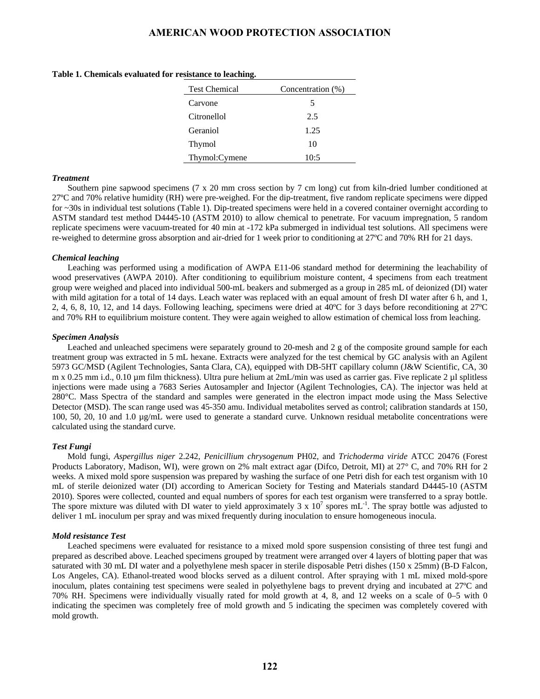|  | Table 1. Chemicals evaluated for resistance to leaching. |  |  |  |
|--|----------------------------------------------------------|--|--|--|
|--|----------------------------------------------------------|--|--|--|

| <b>Test Chemical</b> | Concentration (%) |  |  |
|----------------------|-------------------|--|--|
| Carvone              | 5                 |  |  |
| Citronellol          | 2.5               |  |  |
| Geraniol             | 1.25              |  |  |
| Thymol               | 10                |  |  |
| Thymol:Cymene        | 10:5              |  |  |

#### *Treatment*

Southern pine sapwood specimens (7 x 20 mm cross section by 7 cm long) cut from kiln-dried lumber conditioned at 27ºC and 70% relative humidity (RH) were pre-weighed. For the dip-treatment, five random replicate specimens were dipped for ~30s in individual test solutions (Table 1). Dip-treated specimens were held in a covered container overnight according to ASTM standard test method D4445-10 (ASTM 2010) to allow chemical to penetrate. For vacuum impregnation, 5 random replicate specimens were vacuum-treated for 40 min at -172 kPa submerged in individual test solutions. All specimens were re-weighed to determine gross absorption and air-dried for 1 week prior to conditioning at 27ºC and 70% RH for 21 days.

#### *Chemical leaching*

Leaching was performed using a modification of AWPA E11-06 standard method for determining the leachability of wood preservatives (AWPA 2010). After conditioning to equilibrium moisture content, 4 specimens from each treatment group were weighed and placed into individual 500-mL beakers and submerged as a group in 285 mL of deionized (DI) water with mild agitation for a total of 14 days. Leach water was replaced with an equal amount of fresh DI water after 6 h, and 1, 2, 4, 6, 8, 10, 12, and 14 days. Following leaching, specimens were dried at 40ºC for 3 days before reconditioning at 27ºC and 70% RH to equilibrium moisture content. They were again weighed to allow estimation of chemical loss from leaching.

#### *Specimen Analysis*

Leached and unleached specimens were separately ground to 20-mesh and 2 g of the composite ground sample for each treatment group was extracted in 5 mL hexane. Extracts were analyzed for the test chemical by GC analysis with an Agilent 5973 GC/MSD (Agilent Technologies, Santa Clara, CA), equipped with DB-5HT capillary column (J&W Scientific, CA, 30 m x 0.25 mm i.d., 0.10 µm film thickness). Ultra pure helium at 2mL/min was used as carrier gas. Five replicate 2 µl splitless injections were made using a 7683 Series Autosampler and Injector (Agilent Technologies, CA). The injector was held at 280°C. Mass Spectra of the standard and samples were generated in the electron impact mode using the Mass Selective Detector (MSD). The scan range used was 45-350 amu. Individual metabolites served as control; calibration standards at 150, 100, 50, 20, 10 and 1.0 µg/mL were used to generate a standard curve. Unknown residual metabolite concentrations were calculated using the standard curve.

#### *Test Fungi*

Mold fungi, *Aspergillus niger* 2.242, *Penicillium chrysogenum* PH02, and *Trichoderma viride* ATCC 20476 (Forest Products Laboratory, Madison, WI), were grown on 2% malt extract agar (Difco, Detroit, MI) at 27° C, and 70% RH for 2 weeks. A mixed mold spore suspension was prepared by washing the surface of one Petri dish for each test organism with 10 mL of sterile deionized water (DI) according to American Society for Testing and Materials standard D4445-10 (ASTM 2010). Spores were collected, counted and equal numbers of spores for each test organism were transferred to a spray bottle. The spore mixture was diluted with DI water to yield approximately 3 x  $10^7$  spores mL<sup>-1</sup>. The spray bottle was adjusted to deliver 1 mL inoculum per spray and was mixed frequently during inoculation to ensure homogeneous inocula.

#### *Mold resistance Test*

Leached specimens were evaluated for resistance to a mixed mold spore suspension consisting of three test fungi and prepared as described above. Leached specimens grouped by treatment were arranged over 4 layers of blotting paper that was saturated with 30 mL DI water and a polyethylene mesh spacer in sterile disposable Petri dishes (150 x 25mm) (B-D Falcon, Los Angeles, CA). Ethanol-treated wood blocks served as a diluent control. After spraying with 1 mL mixed mold-spore inoculum, plates containing test specimens were sealed in polyethylene bags to prevent drying and incubated at 27ºC and 70% RH. Specimens were individually visually rated for mold growth at 4, 8, and 12 weeks on a scale of 0–5 with 0 indicating the specimen was completely free of mold growth and 5 indicating the specimen was completely covered with mold growth.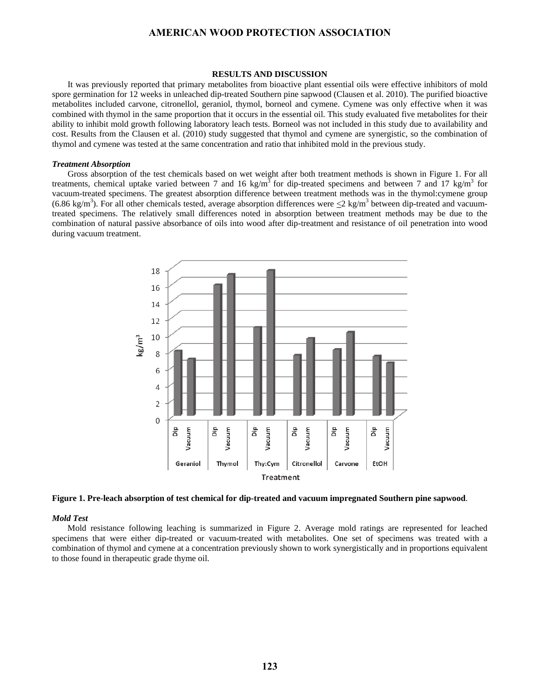#### **RESULTS AND DISCUSSION**

It was previously reported that primary metabolites from bioactive plant essential oils were effective inhibitors of mold spore germination for 12 weeks in unleached dip-treated Southern pine sapwood (Clausen et al. 2010). The purified bioactive metabolites included carvone, citronellol, geraniol, thymol, borneol and cymene. Cymene was only effective when it was combined with thymol in the same proportion that it occurs in the essential oil. This study evaluated five metabolites for their ability to inhibit mold growth following laboratory leach tests. Borneol was not included in this study due to availability and cost. Results from the Clausen et al. (2010) study suggested that thymol and cymene are synergistic, so the combination of thymol and cymene was tested at the same concentration and ratio that inhibited mold in the previous study.

#### *Treatment Absorption*

Gross absorption of the test chemicals based on wet weight after both treatment methods is shown in Figure 1. For all treatments, chemical uptake varied between 7 and 16 kg/m<sup>3</sup> for dip-treated specimens and between 7 and 17 kg/m<sup>3</sup> for vacuum-treated specimens. The greatest absorption difference between treatment methods was in the thymol:cymene group (6.86 kg/m<sup>3</sup>). For all other chemicals tested, average absorption differences were  $\leq$ 2 kg/m<sup>3</sup> between dip-treated and vacuumtreated specimens. The relatively small differences noted in absorption between treatment methods may be due to the combination of natural passive absorbance of oils into wood after dip-treatment and resistance of oil penetration into wood during vacuum treatment.



**Figure 1. Pre-leach absorption of test chemical for dip-treated and vacuum impregnated Southern pine sapwood**.

#### *Mold Test*

Mold resistance following leaching is summarized in Figure 2. Average mold ratings are represented for leached specimens that were either dip-treated or vacuum-treated with metabolites. One set of specimens was treated with a combination of thymol and cymene at a concentration previously shown to work synergistically and in proportions equivalent to those found in therapeutic grade thyme oil.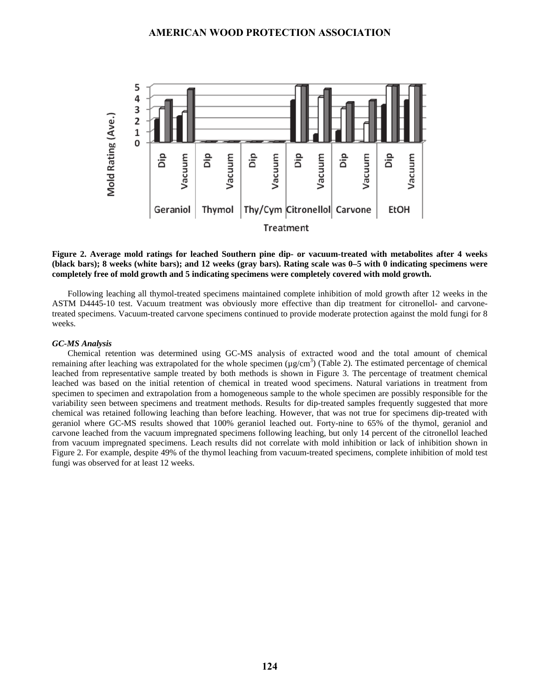

**Figure 2. Average mold ratings for leached Southern pine dip- or vacuum-treated with metabolites after 4 weeks (black bars); 8 weeks (white bars); and 12 weeks (gray bars). Rating scale was 0–5 with 0 indicating specimens were completely free of mold growth and 5 indicating specimens were completely covered with mold growth.** 

Following leaching all thymol-treated specimens maintained complete inhibition of mold growth after 12 weeks in the ASTM D4445-10 test. Vacuum treatment was obviously more effective than dip treatment for citronellol- and carvonetreated specimens. Vacuum-treated carvone specimens continued to provide moderate protection against the mold fungi for 8 weeks.

#### *GC-MS Analysis*

Chemical retention was determined using GC-MS analysis of extracted wood and the total amount of chemical remaining after leaching was extrapolated for the whole specimen  $(\mu g/cm^3)$  (Table 2). The estimated percentage of chemical leached from representative sample treated by both methods is shown in Figure 3. The percentage of treatment chemical leached was based on the initial retention of chemical in treated wood specimens. Natural variations in treatment from specimen to specimen and extrapolation from a homogeneous sample to the whole specimen are possibly responsible for the variability seen between specimens and treatment methods. Results for dip-treated samples frequently suggested that more chemical was retained following leaching than before leaching. However, that was not true for specimens dip-treated with geraniol where GC-MS results showed that 100% geraniol leached out. Forty-nine to 65% of the thymol, geraniol and carvone leached from the vacuum impregnated specimens following leaching, but only 14 percent of the citronellol leached from vacuum impregnated specimens. Leach results did not correlate with mold inhibition or lack of inhibition shown in Figure 2. For example, despite 49% of the thymol leaching from vacuum-treated specimens, complete inhibition of mold test fungi was observed for at least 12 weeks.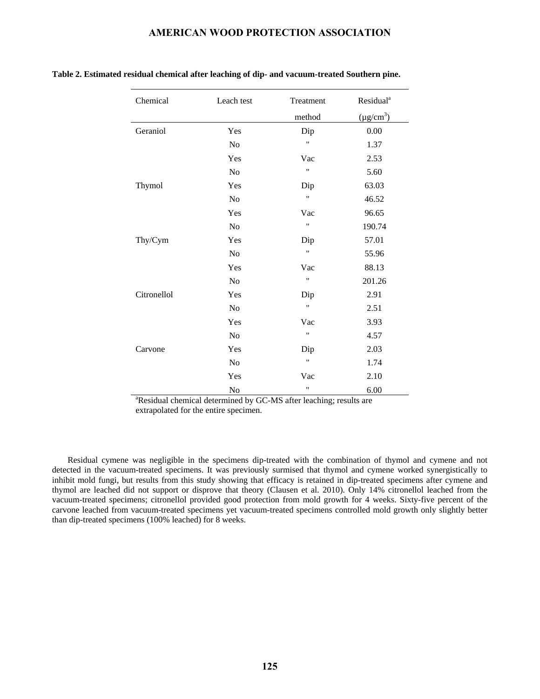| Chemical    | Leach test     | Treatment            | Residual <sup>a</sup> |
|-------------|----------------|----------------------|-----------------------|
|             |                | method               | $(\mu g/cm^3)$        |
| Geraniol    | Yes            | Dip                  | 0.00                  |
|             | $\rm No$       | Ħ                    | 1.37                  |
|             | Yes            | Vac                  | 2.53                  |
|             | N <sub>o</sub> | Ħ                    | 5.60                  |
| Thymol      | Yes            | Dip                  | 63.03                 |
|             | N <sub>o</sub> | $\pmb{\mathfrak{y}}$ | 46.52                 |
|             | Yes            | Vac                  | 96.65                 |
|             | N <sub>o</sub> | 11                   | 190.74                |
| Thy/Cym     | Yes            | Dip                  | 57.01                 |
|             | N <sub>o</sub> | 11                   | 55.96                 |
|             | Yes            | Vac                  | 88.13                 |
|             | N <sub>o</sub> | Ħ                    | 201.26                |
| Citronellol | Yes            | Dip                  | 2.91                  |
|             | $\rm No$       | Ħ                    | 2.51                  |
|             | Yes            | Vac                  | 3.93                  |
|             | $\rm No$       | 11                   | 4.57                  |
| Carvone     | Yes            | Dip                  | 2.03                  |
|             | N <sub>o</sub> | 11                   | 1.74                  |
|             | Yes            | Vac                  | 2.10                  |
|             | No             | 11                   | 6.00                  |

#### **Table 2. Estimated residual chemical after leaching of dip- and vacuum-treated Southern pine.**

No  $\frac{N_0}{N_0}$  are  $\frac{6.00}{N_0}$ <br>Residual chemical determined by GC-MS after leaching; results are extrapolated for the entire specimen.

Residual cymene was negligible in the specimens dip-treated with the combination of thymol and cymene and not detected in the vacuum-treated specimens. It was previously surmised that thymol and cymene worked synergistically to inhibit mold fungi, but results from this study showing that efficacy is retained in dip-treated specimens after cymene and thymol are leached did not support or disprove that theory (Clausen et al. 2010). Only 14% citronellol leached from the vacuum-treated specimens; citronellol provided good protection from mold growth for 4 weeks. Sixty-five percent of the carvone leached from vacuum-treated specimens yet vacuum-treated specimens controlled mold growth only slightly better than dip-treated specimens (100% leached) for 8 weeks.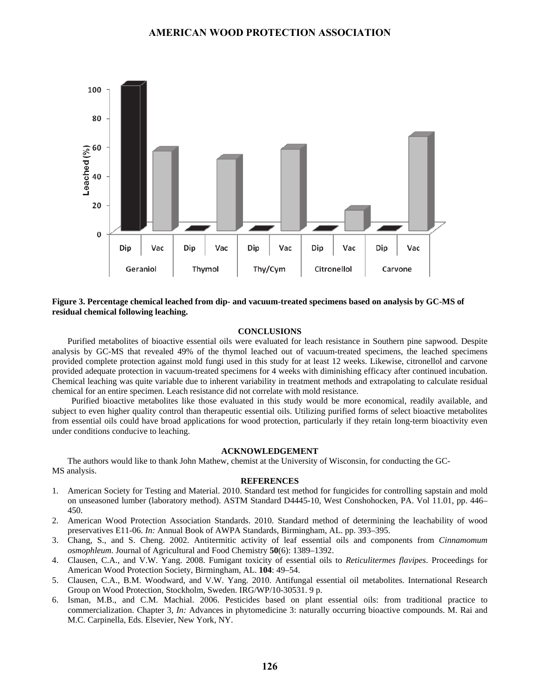

### **Figure 3. Percentage chemical leached from dip- and vacuum-treated specimens based on analysis by GC-MS of residual chemical following leaching.**

#### **CONCLUSIONS**

Purified metabolites of bioactive essential oils were evaluated for leach resistance in Southern pine sapwood. Despite analysis by GC-MS that revealed 49% of the thymol leached out of vacuum-treated specimens, the leached specimens provided complete protection against mold fungi used in this study for at least 12 weeks. Likewise, citronellol and carvone provided adequate protection in vacuum-treated specimens for 4 weeks with diminishing efficacy after continued incubation. Chemical leaching was quite variable due to inherent variability in treatment methods and extrapolating to calculate residual chemical for an entire specimen. Leach resistance did not correlate with mold resistance.

Purified bioactive metabolites like those evaluated in this study would be more economical, readily available, and subject to even higher quality control than therapeutic essential oils. Utilizing purified forms of select bioactive metabolites from essential oils could have broad applications for wood protection, particularly if they retain long-term bioactivity even under conditions conducive to leaching.

#### **ACKNOWLEDGEMENT**

The authors would like to thank John Mathew, chemist at the University of Wisconsin, for conducting the GC-MS analysis.

#### **REFERENCES**

- 1. American Society for Testing and Material. 2010. Standard test method for fungicides for controlling sapstain and mold on unseasoned lumber (laboratory method). ASTM Standard D4445-10, West Conshohocken, PA. Vol 11.01, pp. 446– 450.
- 2. American Wood Protection Association Standards. 2010. Standard method of determining the leachability of wood preservatives E11-06. *In:* Annual Book of AWPA Standards, Birmingham, AL. pp. 393–395.
- 3. Chang, S., and S. Cheng. 2002. Antitermitic activity of leaf essential oils and components from *Cinnamomum osmophleum*. Journal of Agricultural and Food Chemistry **50**(6): 1389–1392.
- 4. Clausen, C.A., and V.W. Yang. 2008. Fumigant toxicity of essential oils to *Reticulitermes flavipes*. Proceedings for American Wood Protection Society, Birmingham, AL. **104**: 49–54.
- 5. Clausen, C.A., B.M. Woodward, and V.W. Yang. 2010. Antifungal essential oil metabolites. International Research Group on Wood Protection, Stockholm, Sweden. IRG/WP/10-30531. 9 p.
- 6. Isman, M.B., and C.M. Machial. 2006. Pesticides based on plant essential oils: from traditional practice to commercialization. Chapter 3, *In:* Advances in phytomedicine 3: naturally occurring bioactive compounds. M. Rai and M.C. Carpinella, Eds. Elsevier, New York, NY.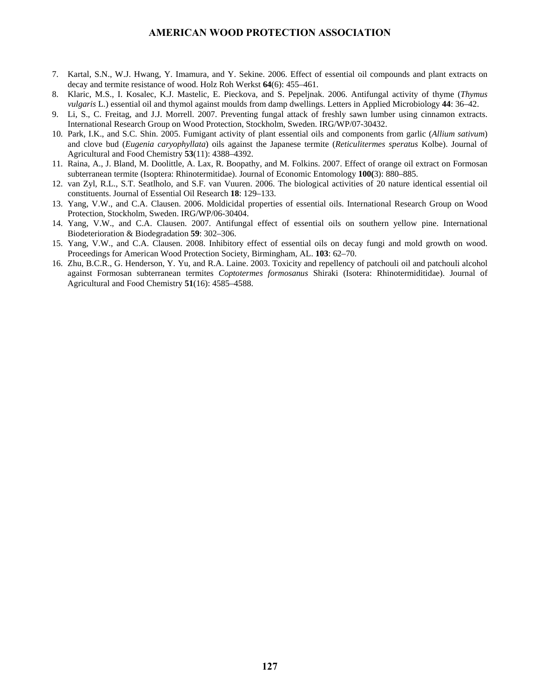- 7. Kartal, S.N., W.J. Hwang, Y. Imamura, and Y. Sekine. 2006. Effect of essential oil compounds and plant extracts on decay and termite resistance of wood. Holz Roh Werkst **64**(6): 455–461.
- 8. Klaric, M.S., I. Kosalec, K.J. Mastelic, E. Pieckova, and S. Pepeljnak. 2006. Antifungal activity of thyme (*Thymus vulgaris* L.) essential oil and thymol against moulds from damp dwellings. Letters in Applied Microbiology **44**: 36–42.
- 9. Li, S., C. Freitag, and J.J. Morrell. 2007. Preventing fungal attack of freshly sawn lumber using cinnamon extracts. International Research Group on Wood Protection, Stockholm, Sweden. IRG/WP/07-30432.
- 10. Park, I.K., and S.C. Shin. 2005. Fumigant activity of plant essential oils and components from garlic (*Allium sativum*) and clove bud (*Eugenia caryophyllata*) oils against the Japanese termite (*Reticulitermes speratus* Kolbe). Journal of Agricultural and Food Chemistry **53**(11): 4388–4392.
- 11. Raina, A., J. Bland, M. Doolittle, A. Lax, R. Boopathy, and M. Folkins. 2007. Effect of orange oil extract on Formosan subterranean termite (Isoptera: Rhinotermitidae). Journal of Economic Entomology **100(**3): 880–885.
- 12. van Zyl, R.L., S.T. Seatlholo, and S.F. van Vuuren. 2006. The biological activities of 20 nature identical essential oil constituents. Journal of Essential Oil Research **18**: 129–133.
- 13. Yang, V.W., and C.A. Clausen. 2006. Moldicidal properties of essential oils. International Research Group on Wood Protection, Stockholm, Sweden. IRG/WP/06-30404.
- 14. Yang, V.W., and C.A. Clausen. 2007. Antifungal effect of essential oils on southern yellow pine. International Biodeterioration & Biodegradation **59**: 302–306.
- 15. Yang, V.W., and C.A. Clausen. 2008. Inhibitory effect of essential oils on decay fungi and mold growth on wood. Proceedings for American Wood Protection Society, Birmingham, AL. **103**: 62–70.
- 16. Zhu, B.C.R., G. Henderson, Y. Yu, and R.A. Laine. 2003. Toxicity and repellency of patchouli oil and patchouli alcohol against Formosan subterranean termites *Coptotermes formosanus* Shiraki (Isotera: Rhinotermiditidae). Journal of Agricultural and Food Chemistry **51**(16): 4585–4588.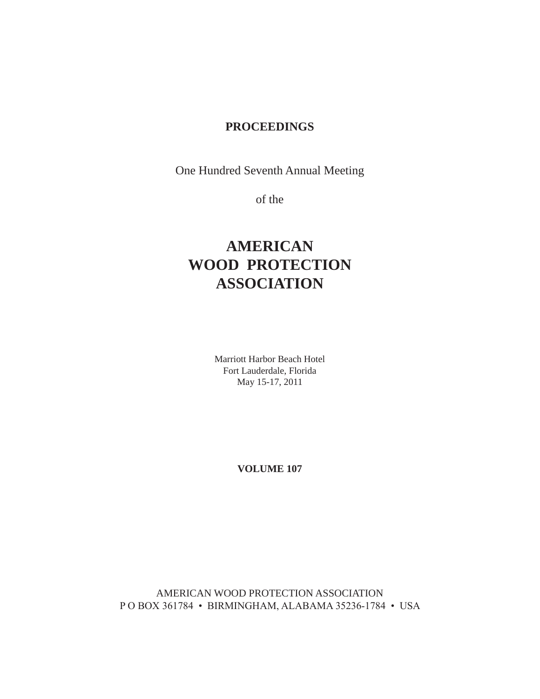# **PROCEEDINGS**

One Hundred Seventh Annual Meeting

of the

# **AMERICAN WOOD PROTECTION ASSOCIATION**

Marriott Harbor Beach Hotel Fort Lauderdale, Florida May 15-17, 2011

**VOLUME 107**

AMERICAN WOOD PROTECTION ASSOCIATION P O BOX 361784 • BIRMINGHAM, ALABAMA 35236-1784 • USA